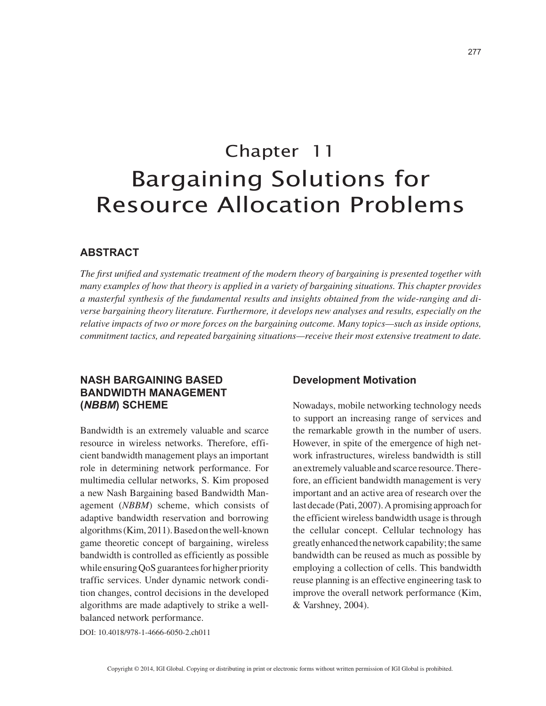# Chapter 11 Bargaining Solutions for Resource Allocation Problems

## **ABSTRACT**

*The first unified and systematic treatment of the modern theory of bargaining is presented together with many examples of how that theory is applied in a variety of bargaining situations. This chapter provides a masterful synthesis of the fundamental results and insights obtained from the wide-ranging and diverse bargaining theory literature. Furthermore, it develops new analyses and results, especially on the relative impacts of two or more forces on the bargaining outcome. Many topics—such as inside options, commitment tactics, and repeated bargaining situations—receive their most extensive treatment to date.*

# **NASH BARGAINING BASED BANDWIDTH MANAGEMENT (***NBBM***) SCHEME**

Bandwidth is an extremely valuable and scarce resource in wireless networks. Therefore, efficient bandwidth management plays an important role in determining network performance. For multimedia cellular networks, S. Kim proposed a new Nash Bargaining based Bandwidth Management (*NBBM*) scheme, which consists of adaptive bandwidth reservation and borrowing algorithms (Kim, 2011). Based on the well-known game theoretic concept of bargaining, wireless bandwidth is controlled as efficiently as possible while ensuring QoS guarantees for higher priority traffic services. Under dynamic network condition changes, control decisions in the developed algorithms are made adaptively to strike a wellbalanced network performance.

### **Development Motivation**

Nowadays, mobile networking technology needs to support an increasing range of services and the remarkable growth in the number of users. However, in spite of the emergence of high network infrastructures, wireless bandwidth is still an extremely valuable and scarce resource. Therefore, an efficient bandwidth management is very important and an active area of research over the last decade (Pati, 2007). A promising approach for the efficient wireless bandwidth usage is through the cellular concept. Cellular technology has greatly enhanced the network capability; the same bandwidth can be reused as much as possible by employing a collection of cells. This bandwidth reuse planning is an effective engineering task to improve the overall network performance (Kim, & Varshney, 2004).

DOI: 10.4018/978-1-4666-6050-2.ch011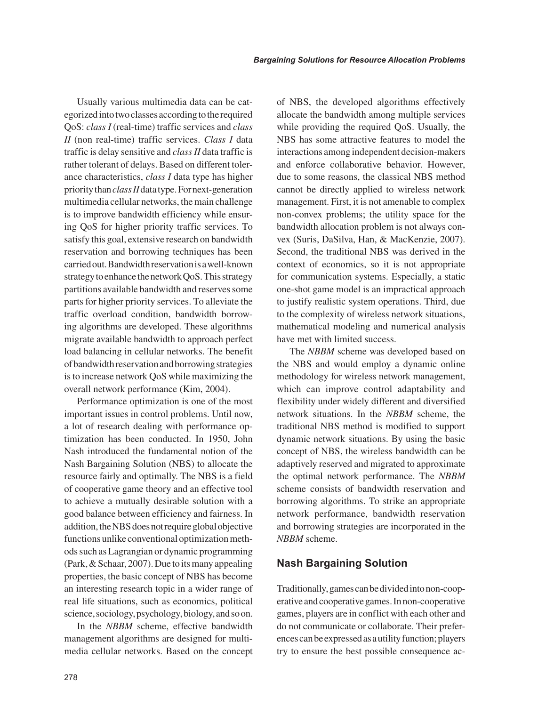Usually various multimedia data can be categorized into two classes according to the required QoS: *class I* (real-time) traffic services and *class II* (non real-time) traffic services. *Class I* data traffic is delay sensitive and *class II* data traffic is rather tolerant of delays. Based on different tolerance characteristics, *class I* data type has higher priority than *class II* data type. For next-generation multimedia cellular networks, the main challenge is to improve bandwidth efficiency while ensuring QoS for higher priority traffic services. To satisfy this goal, extensive research on bandwidth reservation and borrowing techniques has been carried out. Bandwidth reservation is a well-known strategy to enhance the network QoS. This strategy partitions available bandwidth and reserves some parts for higher priority services. To alleviate the traffic overload condition, bandwidth borrowing algorithms are developed. These algorithms migrate available bandwidth to approach perfect load balancing in cellular networks. The benefit of bandwidth reservation and borrowing strategies is to increase network QoS while maximizing the overall network performance (Kim, 2004).

Performance optimization is one of the most important issues in control problems. Until now, a lot of research dealing with performance optimization has been conducted. In 1950, John Nash introduced the fundamental notion of the Nash Bargaining Solution (NBS) to allocate the resource fairly and optimally. The NBS is a field of cooperative game theory and an effective tool to achieve a mutually desirable solution with a good balance between efficiency and fairness. In addition, the NBS does not require global objective functions unlike conventional optimization methods such as Lagrangian or dynamic programming (Park, & Schaar, 2007). Due to its many appealing properties, the basic concept of NBS has become an interesting research topic in a wider range of real life situations, such as economics, political science, sociology, psychology, biology, and so on.

In the *NBBM* scheme, effective bandwidth management algorithms are designed for multimedia cellular networks. Based on the concept of NBS, the developed algorithms effectively allocate the bandwidth among multiple services while providing the required QoS. Usually, the NBS has some attractive features to model the interactions among independent decision-makers and enforce collaborative behavior. However, due to some reasons, the classical NBS method cannot be directly applied to wireless network management. First, it is not amenable to complex non-convex problems; the utility space for the bandwidth allocation problem is not always convex (Suris, DaSilva, Han, & MacKenzie, 2007). Second, the traditional NBS was derived in the context of economics, so it is not appropriate for communication systems. Especially, a static one-shot game model is an impractical approach to justify realistic system operations. Third, due to the complexity of wireless network situations, mathematical modeling and numerical analysis have met with limited success.

The *NBBM* scheme was developed based on the NBS and would employ a dynamic online methodology for wireless network management, which can improve control adaptability and flexibility under widely different and diversified network situations. In the *NBBM* scheme, the traditional NBS method is modified to support dynamic network situations. By using the basic concept of NBS, the wireless bandwidth can be adaptively reserved and migrated to approximate the optimal network performance. The *NBBM* scheme consists of bandwidth reservation and borrowing algorithms. To strike an appropriate network performance, bandwidth reservation and borrowing strategies are incorporated in the *NBBM* scheme.

## **Nash Bargaining Solution**

Traditionally, games can be divided into non-cooperative and cooperative games. In non-cooperative games, players are in conflict with each other and do not communicate or collaborate. Their preferences can be expressed as a utility function; players try to ensure the best possible consequence ac